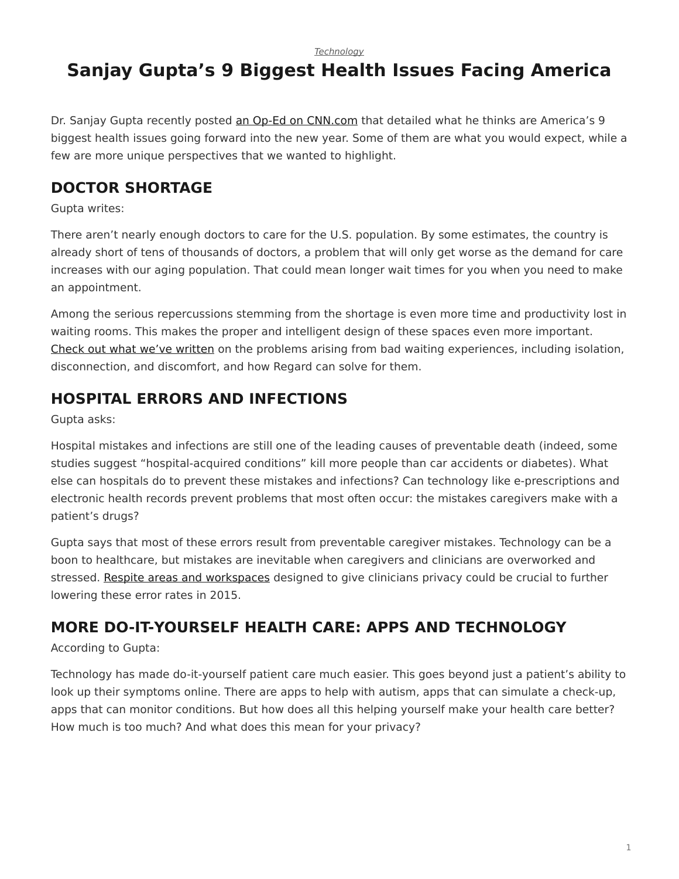*[Technology](https://www.steelcase.com/research/topics/technology/)*

# <span id="page-0-0"></span>**Sanjay Gupta's 9 Biggest Health Issues Facing America**

Dr. Sanjay Gupta recently posted [an Op-Ed on CNN.com](http://www.cnn.com/2015/01/02/opinion/gupta-health-challenges-2015/index.html) that detailed what he thinks are America's 9 biggest health issues going forward into the new year. Some of them are what you would expect, while a few are more unique perspectives that we wanted to highlight.

### **DOCTOR SHORTAGE**

Gupta writes:

There aren't nearly enough doctors to care for the U.S. population. By some estimates, the country is already short of tens of thousands of doctors, a problem that will only get worse as the demand for care increases with our aging population. That could mean longer wait times for you when you need to make an appointment.

Among the serious repercussions stemming from the shortage is even more time and productivity lost in waiting rooms. This makes the proper and intelligent design of these spaces even more important. [Check out what we've written](/blog/patient-discomfort-and-how-common-areas-can-help/) on the problems arising from bad waiting experiences, including isolation, disconnection, and discomfort, and how Regard can solve for them.

## **HOSPITAL ERRORS AND INFECTIONS**

Gupta asks:

Hospital mistakes and infections are still one of the leading causes of preventable death (indeed, some studies suggest "hospital-acquired conditions" kill more people than car accidents or diabetes). What else can hospitals do to prevent these mistakes and infections? Can technology like e-prescriptions and electronic health records prevent problems that most often occur: the mistakes caregivers make with a patient's drugs?

Gupta says that most of these errors result from preventable caregiver mistakes. Technology can be a boon to healthcare, but mistakes are inevitable when caregivers and clinicians are overworked and stressed. [Respite areas and workspaces](/blog/a-time-for-change-in-clinician-workspaces/) designed to give clinicians privacy could be crucial to further lowering these error rates in 2015.

# **MORE DO-IT-YOURSELF HEALTH CARE: APPS AND TECHNOLOGY**

According to Gupta:

Technology has made do-it-yourself patient care much easier. This goes beyond just a patient's ability to look up their symptoms online. There are apps to help with autism, apps that can simulate a check-up, apps that can monitor conditions. But how does all this helping yourself make your health care better? How much is too much? And what does this mean for your privacy?